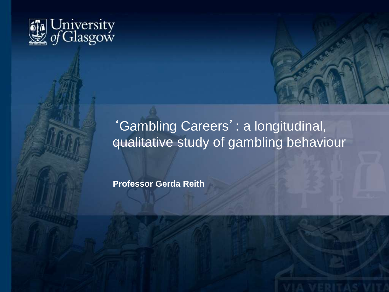



# 'Gambling Careers': a longitudinal, qualitative study of gambling behaviour

**Professor Gerda Reith**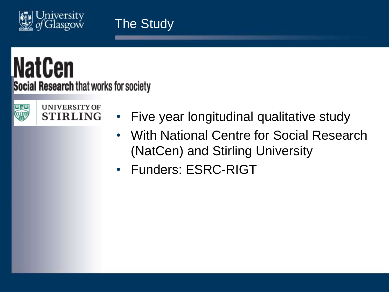

# **NatCen** Social Research that works for society



**UNIVERSITY OF STIRLING** 

- Five year longitudinal qualitative study
- With National Centre for Social Research (NatCen) and Stirling University
- Funders: ESRC-RIGT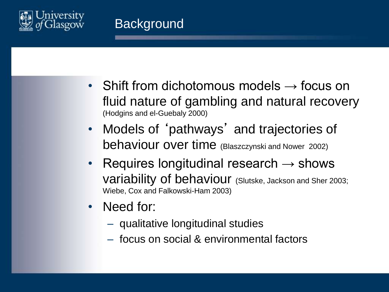

- Shift from dichotomous models  $\rightarrow$  focus on fluid nature of gambling and natural recovery (Hodgins and el-Guebaly 2000)
- Models of 'pathways' and trajectories of behaviour over time (Blaszczynski and Nower 2002)
- Requires longitudinal research  $\rightarrow$  shows variability of behaviour (Slutske, Jackson and Sher 2003; Wiebe, Cox and Falkowski-Ham 2003)
- Need for:
	- qualitative longitudinal studies
	- focus on social & environmental factors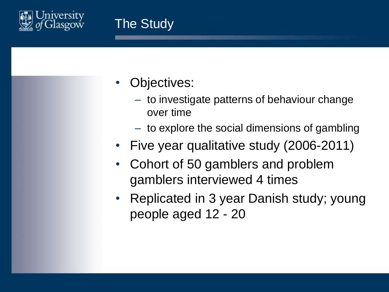

- Objectives:
	- to investigate patterns of behaviour change over time
	- to explore the social dimensions of gambling
- Five year qualitative study (2006-2011)
- Cohort of 50 gamblers and problem gamblers interviewed 4 times
- Replicated in 3 year Danish study; young people aged 12 - 20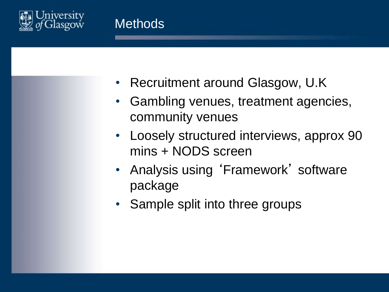

- Recruitment around Glasgow, U.K
- Gambling venues, treatment agencies, community venues
- Loosely structured interviews, approx 90 mins + NODS screen
- Analysis using 'Framework' software package
- Sample split into three groups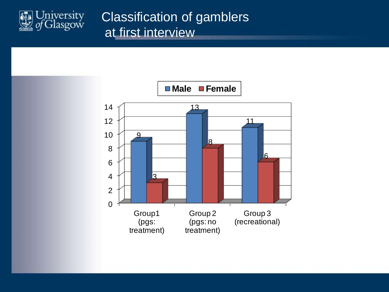

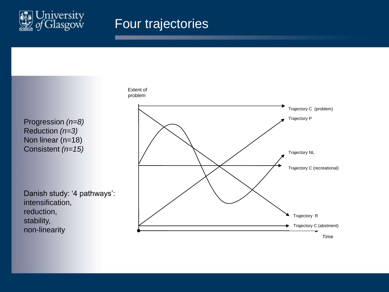

#### Four trajectories

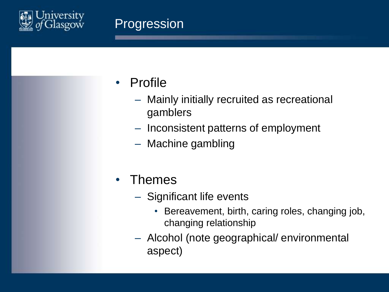

### Progression

- Profile
	- Mainly initially recruited as recreational gamblers
	- Inconsistent patterns of employment
	- Machine gambling
- Themes
	- Significant life events
		- Bereavement, birth, caring roles, changing job, changing relationship
	- Alcohol (note geographical/ environmental aspect)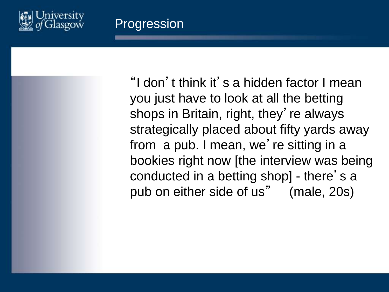

"I don't think it's a hidden factor I mean you just have to look at all the betting shops in Britain, right, they' re always strategically placed about fifty yards away from a pub. I mean, we're sitting in a bookies right now [the interview was being conducted in a betting shop] - there' s a pub on either side of us" (male, 20s)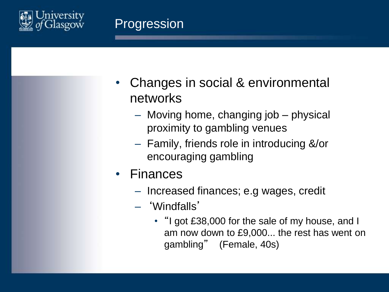

- Changes in social & environmental networks
	- Moving home, changing job physical proximity to gambling venues
	- Family, friends role in introducing &/or encouraging gambling
- Finances
	- Increased finances; e.g wages, credit
	- 'Windfalls'
		- "I got £38,000 for the sale of my house, and I am now down to £9,000... the rest has went on gambling" (Female, 40s)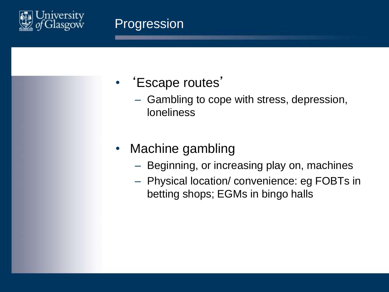

- 'Escape routes'
	- Gambling to cope with stress, depression, loneliness
- Machine gambling
	- Beginning, or increasing play on, machines
	- Physical location/ convenience: eg FOBTs in betting shops; EGMs in bingo halls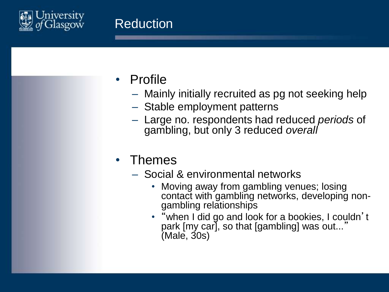

- Profile
	- Mainly initially recruited as pg not seeking help
	- Stable employment patterns
	- Large no. respondents had reduced *periods* of gambling, but only 3 reduced *overall*
- Themes
	- Social & environmental networks
		- Moving away from gambling venues; losing contact with gambling networks, developing nongambling relationships
		- "when I did go and look for a bookies, I couldn't park [my car], so that [gambling] was out...' (Male, 30s)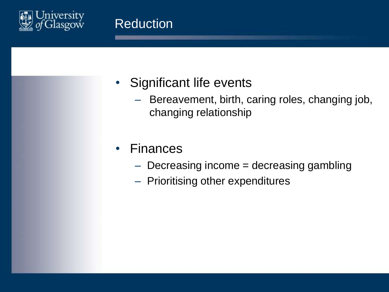

# • Significant life events

– Bereavement, birth, caring roles, changing job, changing relationship

#### • Finances

- $-$  Decreasing income  $=$  decreasing gambling
- Prioritising other expenditures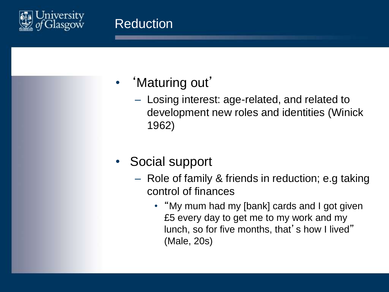

#### • 'Maturing out'

- Losing interest: age-related, and related to development new roles and identities (Winick 1962)
- Social support
	- Role of family & friends in reduction; e.g taking control of finances
		- "My mum had my [bank] cards and I got given £5 every day to get me to my work and my lunch, so for five months, that's how I lived" (Male, 20s)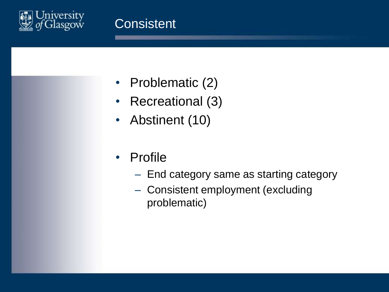

- Problematic (2)
- Recreational (3)
- Abstinent (10)
- Profile
	- End category same as starting category
	- Consistent employment (excluding problematic)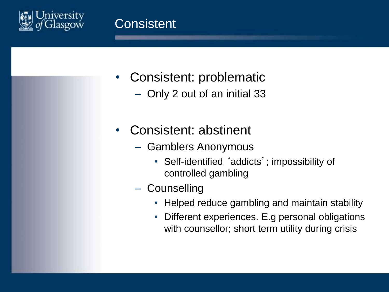

- Consistent: problematic
	- Only 2 out of an initial 33
- Consistent: abstinent
	- Gamblers Anonymous
		- Self-identified 'addicts'; impossibility of controlled gambling
	- Counselling
		- Helped reduce gambling and maintain stability
		- Different experiences. E.g personal obligations with counsellor; short term utility during crisis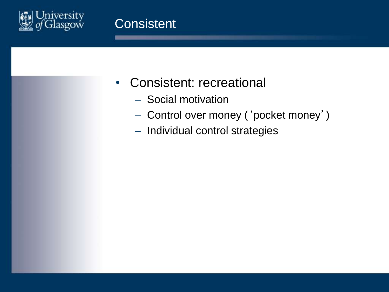

- Consistent: recreational
	- Social motivation
	- Control over money ('pocket money')
	- Individual control strategies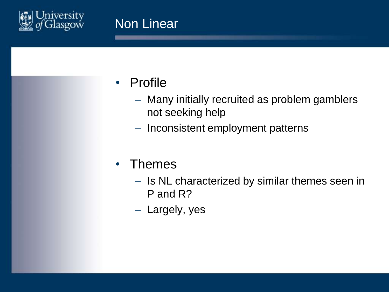

- Profile
	- Many initially recruited as problem gamblers not seeking help
	- Inconsistent employment patterns
- Themes
	- Is NL characterized by similar themes seen in P and R?
	- Largely, yes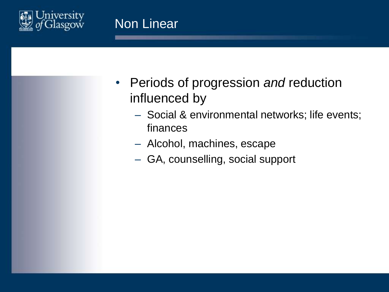

- Periods of progression *and* reduction influenced by
	- Social & environmental networks; life events; finances
	- Alcohol, machines, escape
	- GA, counselling, social support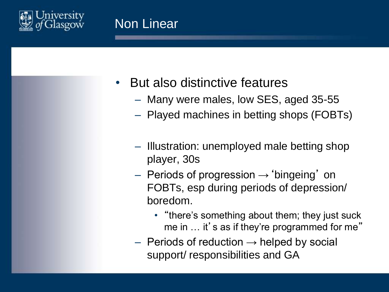

## • But also distinctive features

- Many were males, low SES, aged 35-55
- Played machines in betting shops (FOBTs)
- Illustration: unemployed male betting shop player, 30s
- $-$  Periods of progression  $\rightarrow$  'bingeing' on FOBTs, esp during periods of depression/ boredom.
	- "there's something about them; they just suck me in ... it's as if they're programmed for me"
- $-$  Periods of reduction  $\rightarrow$  helped by social support/ responsibilities and GA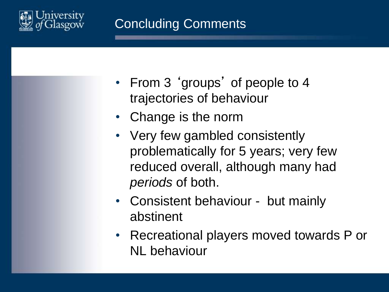

- From 3 'groups' of people to 4 trajectories of behaviour
- Change is the norm
- Very few gambled consistently problematically for 5 years; very few reduced overall, although many had *periods* of both.
- Consistent behaviour but mainly abstinent
- Recreational players moved towards P or NL behaviour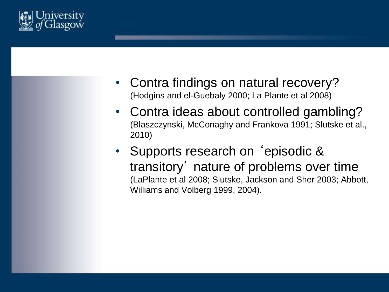

- Contra findings on natural recovery? (Hodgins and el-Guebaly 2000; La Plante et al 2008)
- Contra ideas about controlled gambling? (Blaszczynski, McConaghy and Frankova 1991; Slutske et al., 2010)
- Supports research on 'episodic & transitory' nature of problems over time (LaPlante et al 2008; Slutske, Jackson and Sher 2003; Abbott, Williams and Volberg 1999, 2004).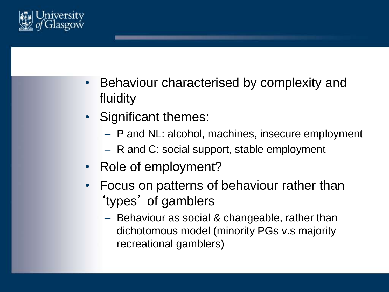

- Behaviour characterised by complexity and fluidity
- Significant themes:
	- P and NL: alcohol, machines, insecure employment
	- R and C: social support, stable employment
- Role of employment?
- Focus on patterns of behaviour rather than 'types' of gamblers
	- Behaviour as social & changeable, rather than dichotomous model (minority PGs v.s majority recreational gamblers)